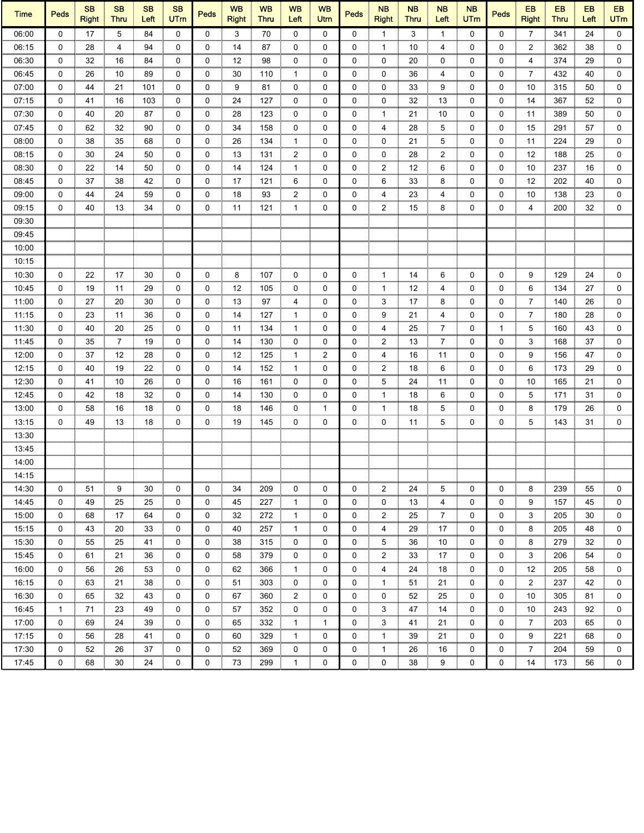| <b>Time</b> | <b>Peds</b> | <b>SB</b><br><b>Right</b> | <b>SB</b><br><b>Thru</b> | <b>SB</b><br>Left | <b>SB</b><br><b>UTm</b> | <b>Peds</b>  | <b>WB</b><br><b>Right</b> | <b>WB</b><br><b>Thru</b> | <b>WB</b><br>Left | <b>WB</b><br>Utm | <b>Peds</b> | <b>NB</b><br><b>Right</b> | <b>NB</b><br><b>Thru</b> | <b>NB</b><br>Left | <b>NB</b><br><b>UTm</b> | <b>Peds</b> | EB<br><b>Right</b> | EB<br><b>Thru</b> | EB<br>Left | <b>EB</b><br><b>UTm</b> |
|-------------|-------------|---------------------------|--------------------------|-------------------|-------------------------|--------------|---------------------------|--------------------------|-------------------|------------------|-------------|---------------------------|--------------------------|-------------------|-------------------------|-------------|--------------------|-------------------|------------|-------------------------|
| 06:00       | $\mathbf 0$ | 17                        | 5                        | 84                | $\mathbf 0$             | $\mathbf{0}$ | 3                         | 70                       | $\mathbf 0$       | 0                | $\mathbf 0$ | $\mathbf{1}$              | 3                        | $\mathbf{1}$      | $\mathbf 0$             | 0           | $\overline{7}$     | 341               | 24         | $\mathbf 0$             |
| 06:15       | 0           | 28                        | 4                        | 94                | 0                       | 0            | 14                        | 87                       | 0                 | 0                | 0           | 1                         | 10                       | 4                 | 0                       | 0           | $\overline{2}$     | 362               | 38         | 0                       |
| 06:30       | 0           | 32                        | 16                       | 84                | 0                       | 0            | 12                        | 98                       | 0                 | 0                | 0           | 0                         | 20                       | 0                 | 0                       | 0           | 4                  | 374               | 29         | 0                       |
| 06:45       | 0           | 26                        | 10                       | 89                | 0                       | 0            | 30                        | 110                      | $\mathbf{1}$      | 0                | 0           | 0                         | 36                       | 4                 | 0                       | 0           | $\overline{7}$     | 432               | 40         | 0                       |
| 07:00       | 0           | 44                        | 21                       | 101               | 0                       | 0            | 9                         | 81                       | 0                 | 0                | 0           | 0                         | 33                       | 9                 | 0                       | 0           | 10                 | 315               | 50         | 0                       |
| 07:15       | 0           | 41                        | 16                       | 103               | 0                       | 0            | 24                        | 127                      | 0                 | 0                | 0           | 0                         | 32                       | 13                | 0                       | 0           | 14                 | 367               | 52         | 0                       |
| 07:30       | 0           | 40                        | 20                       | 87                | 0                       | 0            | 28                        | 123                      | 0                 | 0                | 0           | $\mathbf{1}$              | 21                       | 10                | 0                       | 0           | 11                 | 389               | 50         | 0                       |
| 07:45       | $\mathbf 0$ | 62                        | 32                       | 90                | $\mathbf 0$             | 0            | 34                        | 158                      | 0                 | 0                | 0           | 4                         | 28                       | 5                 | 0                       | 0           | 15                 | 291               | 57         | $\mathbf 0$             |
| 08:00       | 0           | 38                        | 35                       | 68                | $\mathbf 0$             | 0            | 26                        | 134                      | $\mathbf{1}$      | 0                | 0           | 0                         | 21                       | 5                 | 0                       | 0           | 11                 | 224               | 29         | 0                       |
| 08:15       | 0           | 30                        | 24                       | 50                | 0                       | 0            | 13                        | 131                      | $\overline{2}$    | 0                | 0           | 0                         | 28                       | $\overline{2}$    | 0                       | 0           | 12                 | 188               | 25         | $\mathbf 0$             |
| 08:30       | 0           | 22                        | 14                       | 50                | $\mathbf 0$             | 0            | 14                        | 124                      | $\mathbf{1}$      | 0                | 0           | $\overline{2}$            | 12                       | 6                 | 0                       | 0           | 10                 | 237               | 16         | 0                       |
| 08:45       | 0           | 37                        | 38                       | 42                | 0                       | $\mathbf 0$  | 17                        | 121                      | 6                 | 0                | 0           | 6                         | 33                       | 8                 | 0                       | 0           | 12                 | 202               | 40         | 0                       |
| 09:00       | 0           | 44                        | 24                       | 59                | 0                       | 0            | 18                        | 93                       | 2                 | 0                | 0           | 4                         | 23                       | 4                 | 0                       | 0           | 10                 | 138               | 23         | 0                       |
| 09:15       | 0           | 40                        | 13                       | 34                | 0                       | 0            | 11                        | 121                      | $\mathbf{1}$      | 0                | 0           | $\overline{2}$            | 15                       | 8                 | 0                       | 0           | 4                  | 200               | 32         | 0                       |
| 09:30       |             |                           |                          |                   |                         |              |                           |                          |                   |                  |             |                           |                          |                   |                         |             |                    |                   |            |                         |
| 09:45       |             |                           |                          |                   |                         |              |                           |                          |                   |                  |             |                           |                          |                   |                         |             |                    |                   |            |                         |
| 10:00       |             |                           |                          |                   |                         |              |                           |                          |                   |                  |             |                           |                          |                   |                         |             |                    |                   |            |                         |
| 10:15       |             |                           |                          |                   |                         |              |                           |                          |                   |                  |             |                           |                          |                   |                         |             |                    |                   |            |                         |
| 10:30       | 0           | 22                        | 17                       | 30                | 0                       | 0            | 8                         | 107                      | 0                 | 0                | 0           | 1                         | 14                       | 6                 | 0                       | 0           | 9                  | 129               | 24         | 0                       |
| 10:45       | $\mathbf 0$ | 19                        | 11                       | 29                | 0                       | 0            | 12                        | 105                      | 0                 | 0                | 0           | 1                         | 12                       | 4                 | 0                       | 0           | 6                  | 134               | 27         | 0                       |
| 11:00       | 0           | 27                        | 20                       | 30                | 0                       | 0            | 13                        | 97                       | 4                 | 0                | 0           | 3                         | 17                       | 8                 | 0                       | 0           | 7                  | 140               | 26         | 0                       |
| 11:15       | 0           | 23                        | 11                       | 36                | 0                       | 0            | 14                        | 127                      | 1                 | 0                | 0           | 9                         | 21                       | 4                 | 0                       | 0           | 7                  | 180               | 28         | 0                       |
| 11:30       | 0           | 40                        | 20                       | 25                | 0                       | 0            | 11                        | 134                      | $\mathbf{1}$      | 0                | 0           | 4                         | 25                       | 7                 | 0                       | 1           | 5                  | 160               | 43         | 0                       |
| 11:45       | $\mathbf 0$ | 35                        | $\overline{7}$           | 19                | $\mathbf 0$             | 0            | 14                        | 130                      | 0                 | 0                | 0           | 2                         | 13                       | $\overline{7}$    | 0                       | 0           | 3                  | 168               | 37         | 0                       |
| 12:00       | 0           | 37                        | 12                       | 28                | $\mathbf 0$             | 0            | 12                        | 125                      | $\mathbf{1}$      | $\overline{2}$   | 0           | 4                         | 16                       | 11                | 0                       | 0           | 9                  | 156               | 47         | 0                       |
| 12:15       | $\mathbf 0$ | 40                        | 19                       | 22                | $\mathbf 0$             | 0            | 14                        | 152                      | $\mathbf{1}$      | 0                | 0           | $\overline{2}$            | 18                       | 6                 | 0                       | 0           | 6                  | 173               | 29         | 0                       |
| 12:30       | 0           | 41                        | 10                       | 26                | 0                       | 0            | 16                        | 161                      | 0                 | 0                | 0           | 5                         | 24                       | 11                | 0                       | 0           | 10                 | 165               | 21         | $\mathbf 0$             |
| 12:45       | 0           | 42                        | 18                       | 32                | $\mathbf 0$             | 0            | 14                        | 130                      | 0                 | 0                | 0           | 1                         | 18                       | 6                 | 0                       | 0           | 5                  | 171               | 31         | 0                       |
| 13:00       | 0           | 58                        | 16                       | 18                | 0                       | 0            | 18                        | 146                      | 0                 | 1                | 0           | 1                         | 18                       | 5                 | 0                       | 0           | 8                  | 179               | 26         | 0                       |
| 13:15       | 0           | 49                        | 13                       | 18                | 0                       | 0            | 19                        | 145                      | 0                 | 0                | 0           | 0                         | 11                       | 5                 | 0                       | 0           | 5                  | 143               | 31         | 0                       |
| 13:30       |             |                           |                          |                   |                         |              |                           |                          |                   |                  |             |                           |                          |                   |                         |             |                    |                   |            |                         |
| 13:45       |             |                           |                          |                   |                         |              |                           |                          |                   |                  |             |                           |                          |                   |                         |             |                    |                   |            |                         |
| 14:00       |             |                           |                          |                   |                         |              |                           |                          |                   |                  |             |                           |                          |                   |                         |             |                    |                   |            |                         |
| 14:15       |             |                           |                          |                   |                         |              |                           |                          |                   |                  |             |                           |                          |                   |                         |             |                    |                   |            |                         |
| 14:30       | 0           | 51                        | 9                        | 30                | 0                       | 0            | 34                        | 209                      | 0                 | 0                | 0           | 2                         | 24                       | 5                 | 0                       | 0           | 8                  | 239               | 55         | 0                       |
| 14:45       | 0           | 49                        | 25                       | 25                | 0                       | 0            | 45                        | 227                      | $\mathbf{1}$      | 0                | 0           | 0                         | 13                       | 4                 | 0                       | 0           | 9                  | 157               | 45         | 0                       |
| 15:00       | 0           | 68                        | 17                       | 64                | 0                       | 0            | 32                        | 272                      | 1                 | 0                | 0           | 2                         | 25                       | 7                 | 0                       | 0           | 3                  | 205               | 30         | 0                       |
| 15:15       | 0           | 43                        | 20                       | 33                | 0                       | 0            | 40                        | 257                      | 1                 | 0                | 0           | 4                         | 29                       | 17                | 0                       | 0           | 8                  | 205               | 48         | 0                       |
| 15:30       | 0           | 55                        | 25                       | 41                | 0                       | 0            | 38                        | 315                      | 0                 | 0                | 0           | 5                         | 36                       | 10                | 0                       | 0           | 8                  | 279               | 32         | 0                       |
| 15:45       | 0           | 61                        | 21                       | 36                | 0                       | 0            | 58                        | 379                      | 0                 | 0                | 0           | 2                         | 33                       | 17                | 0                       | 0           | 3                  | 206               | 54         | 0                       |
| 16:00       | 0           | 56                        | 26                       | 53                | 0                       | 0            | 62                        | 366                      | 1                 | 0                | 0           | 4                         | 24                       | 18                | 0                       | 0           | 12                 | 205               | 58         | 0                       |
| 16:15       | 0           | 63                        | 21                       | 38                | 0                       | 0            | 51                        | 303                      | 0                 | 0                | 0           | $\mathbf{1}$              | 51                       | 21                | 0                       | 0           | 2                  | 237               | 42         | 0                       |
| 16:30       | 0           | 65                        | 32                       | 43                | 0                       | 0            | 67                        | 360                      | $\overline{c}$    | 0                | 0           | 0                         | 52                       | 25                | 0                       | 0           | 10                 | 305               | 81         | 0                       |
| 16:45       | 1           | 71                        | 23                       | 49                | 0                       | 0            | 57                        | 352                      | 0                 | 0                | 0           | 3                         | 47                       | 14                | 0                       | 0           | 10                 | 243               | 92         | 0                       |
| 17:00       | 0           | 69                        | 24                       | 39                | $\mathbf 0$             | 0            | 65                        | 332                      | $\mathbf{1}$      | 1                | 0           | 3                         | 41                       | 21                | 0                       | 0           | 7                  | 203               | 65         | 0                       |
| 17:15       | 0           | 56                        | 28                       | 41                | 0                       | 0            | 60                        | 329                      | 1                 | 0                | 0           | 1                         | 39                       | 21                | 0                       | 0           | 9                  | 221               | 68         | 0                       |
| 17:30       | 0           | 52                        | 26                       | 37                | 0                       | 0            | 52                        | 369                      | 0                 | 0                | 0           | 1                         | 26                       | 16                | 0                       | 0           | 7                  | 204               | 59         | 0                       |
| 17:45       | 0           | 68                        | 30                       | 24                | 0                       | 0            | 73                        | 299                      | 1                 | 0                | 0           | 0                         | 38                       | 9                 | 0                       | 0           | 14                 | 173               | 56         | 0                       |